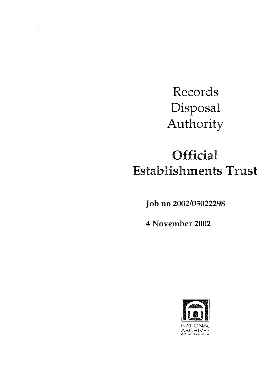# Records Disposal Authority

不可 的

 $\frac{1}{2}$ 

# Official Establishments Trust

Job no **2002/05022298** 

4 November **2002** 

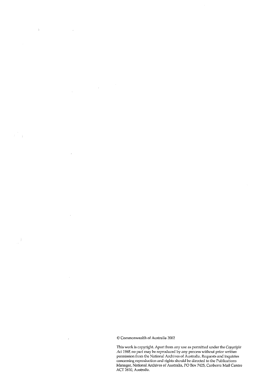© Commonwealth of Australia 2002

 $\sim 10^{-1}$ 

 $\frac{1}{2}$ 

 $\cdot \}$ 

 $\hat{\mathcal{A}}$ 

 $\bar{1}$ 

 $\label{eq:2} \begin{split} \mathcal{L}_{\text{max}}(\mathcal{L}_{\text{max}}) = \mathcal{L}_{\text{max}}(\mathcal{L}_{\text{max}}) \end{split}$ 

This work is copyright. Apart from any use as permitted under the *Copyright Act* 1968,no part may be reproduced by any process without prior written permission from the National Archives of Australia. Requests and inquiries concerning reproduction and rights should be directed to the Publications Manager, National Archives of Australia, PO Box 7425, Canberra Mail Centre ACT 2610, Australia.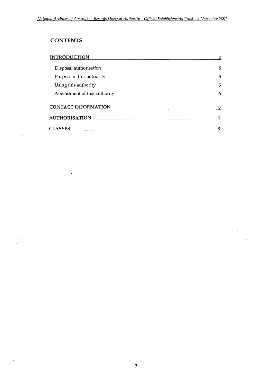### **CONTENTS**

 $\mathcal{L}_{\mathrm{H}}$ 

 $\overline{1}$ 

 $\frac{1}{2}$ 

Ĵ

 $\hat{\mathcal{A}}$ 

| <b>INTRODUCTION</b>         | 5 |
|-----------------------------|---|
| Disposal authorisation      | 5 |
| Purpose of this authority   | 5 |
| Using this authority        | 5 |
| Amendment of this authority | 6 |
| <b>CONTACT INFORMATION</b>  | 6 |
| <b>AUTHORISATION</b>        | 7 |
| <b>CLASSES</b>              | 9 |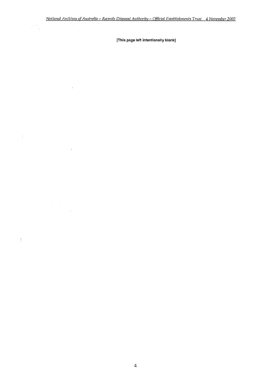$\label{eq:2} \begin{array}{c} \mathcal{L}^{(2)} \rightarrow \mathcal{L}^{(1)} \\ \mathcal{L}^{(2)} \rightarrow \mathcal{L} \end{array}$ 

 $\frac{1}{2}$ 

 $\frac{1}{2}$ 

 $\hat{J}$ 

 $\bar{\mathcal{A}}$ 

 $\bar{r}$ 

 $\label{eq:2} \frac{1}{\sqrt{2}}\sum_{i=1}^n\frac{1}{\sqrt{2\pi}}\int_0^1\frac{1}{\sqrt{2\pi}}\left(\frac{1}{\sqrt{2\pi}}\right)^2\frac{1}{\sqrt{2\pi}}\frac{1}{\sqrt{2\pi}}\int_0^1\frac{1}{\sqrt{2\pi}}\frac{1}{\sqrt{2\pi}}\frac{1}{\sqrt{2\pi}}\frac{1}{\sqrt{2\pi}}\frac{1}{\sqrt{2\pi}}\frac{1}{\sqrt{2\pi}}\frac{1}{\sqrt{2\pi}}\frac{1}{\sqrt{2\pi}}\frac{1}{\sqrt{2\pi}}\frac{1}{\sqrt{$ 

[This page left Intentionally blank]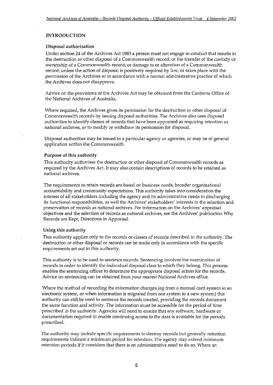#### **INTRODUCTION**

#### Disposal authorisation

Under section 24 of the Archives Act 1983 a person must not engage in conduct that results in the destruction or other disposal of a Commonwealth record; or the transfer of the custody or ownership of a Commonwealth record; or damage to or alteration of a Commonwealth record; unless the action of disposal is positively required by law, or takes place with the permission of the Archives or in accordance with a normal administrative practice of which the Archives does not disapprove.

Advice on the provisions of the Archives Act may be obtained from the Canberra Office of the National Archives of Australia.

Where required, the Archives gives its permission for the destruction or other disposal of Commonwealth records by issuing disposal authorities. The Archives also uses disposal authorities to identify classes of records that have been appraised as requiring retention as national archives, or to modify or withdraw its permission for disposal.

Disposal authorities may be issued to a particular agency or agencies, or may be of general application within the Commonwealth.

#### Purpose of this authority

This authority authorises the destruction or other disposal of Commonwealth records as required by the Archives Act. It may also contain descriptions of records to be retained as national archives,

The requirements to retain records are based on business needs, broader organisational accountability and community expectations. This authority takes into consideration the interest of all stakeholders including the agency and its administrative needs in discharging its functional responsibilities, as well the Archives' stakeholders' interests in the selection and preservation of records as national archives. For information on the Archives' appraisal objectives and the selection of records as national archives, see the Archives' publication Why Records are Kept, Directions in Appraisal.

#### Using this authority

This authority applies only to the records or classes of records described in the authority. The destruction or other disposal or records can be made only in accordance with the specific requirements set out in this authority.

This authority is to be used to sentence records. Sentencing involves the examination of records in order to identify the individual disposal class to which they belong. This process enables the sentencing officer to determine the appropriate disposal action for the records. Advice on sentencing can be obtained from your nearest National Archives office.

Where the method of recording the information changes (eg from a manual card system to an electronic system, or when information is migrated from one system to a new system) this authority can still be used to sentence the records created, providing the records document the same function and activity. The information must be accessible for the period of time prescribed in the authority. Agencies will need to ensure that any software, hardware or documentation required to enable continuing access to the data is available for the periods prescribed.

The authority may include specific requirements to destroy records but generally retention requirements **indicate a minimum period for retention. TIle agency may extend minimum**  retention periods if it considers that there is an administrative need to do so. Where an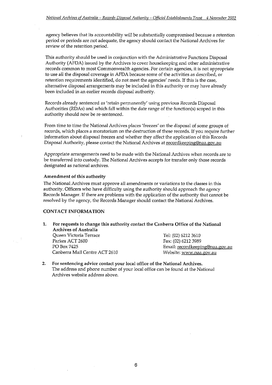agency believes that its accountability will be substantially compromised because a retention period or periods are not adequate, the agency should contact the National Archives for review of the retention period.

This authority should be used in conjunction with the Administrative Functions Disposal Authority (AFDA) issued by the Archives to cover housekeeping and other administrative records common to most Commonwealth agencies. For certain agencies, it is not appropriate to use all the disposal coverage in AFDA because some of the activities as described, or retention requirements identified, do not meet the agencies' needs. If this is the case, alternative disposal arrangements may be included in this authority or may have already been included in an earlier records disposal authority.

Records already sentenced as 'retain permanently' using previous Records Disposal Authorities (RDAs) and which fall within the date range of the function(s) seeped in this authority should now be re-sentenced.

From time to time the National Archives places 'freezes' on the disposal of some groups of records, which places a moratorium on the destruction of these records. If you require further information about disposal freezes and whether they affect the application of this Records Disposal Authority, please contact the National Archives at recordkeeping@naa.gov.au

Appropriate arrangements need to be made with the National Archives when records are to be transferred into custody. The National Archives accepts for transfer only those records designated as national archives.

#### Amendment of this authority

The National.Archives must approve all amendments or variations to the classes in this authority. Officers who have difficulty using the authority should approach the agency Records Manager. If there are problems with the application of the authority that cannot be resolved by the agency, the Records Manager should contact the National Archives.

#### CONTACT INFORMATION

- 1. For requests to change this authority contact the Canberra Office of the National Archives of Australia Queen Victoria Terrace Tel: (02) 6212 3610 Parkes ACT 2600 Fax: (02) 6212 3989 PO Box 7425 **Email:** recordkeeping@naa.gov.au Canberra Mail Centre ACT 2610 Website: www.naa.gov.au
- 2. For sentencing advice contact your local office of the National Archives. The address and phone number of your local office can be found at the National Archives website address above.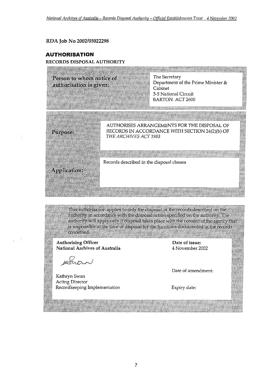#### RDA Job No 2002/05022298

### **AUTHORISATION**

RECORDS DISPOSAL AUTHORITY

| Person to whom notice of<br>authorisation is given: | The Secretary<br>Department of the Prime Minister &<br>Cabinet<br>3-5 National Circuit<br><b>BARTON ACT 2600</b>       |  |
|-----------------------------------------------------|------------------------------------------------------------------------------------------------------------------------|--|
| Punposer                                            | AUTHORISES ARRANGEMENTS FOR THE DISPOSAL OF<br>RECORDS IN ACCORDANCE WITH SECTION 24(2)(b) OF<br>THE ARCHIVES ACT 1983 |  |
| <b>Application:</b>                                 | Records described in the disposal classes                                                                              |  |

n sa ta ba sa kalimin ng katika ng kalimin ng ngang panakan ng pangang ng katika ng pangangangan ng ng kaliminang ng pang

This authorisation applies to only the disposal of the records described on the authority in accordance with the disposal action specified on the authority. The authority will apply only if disposal takes place with the consent of the agency that is responsible at the time of disposal for the functions documented in the records concerned.

**Authorising Officer** National Archives of Australia

Krian

 $\mathcal{L}_{\mathrm{eff}}$  )

Kathryn Swan Acting Director Recordkeeping Implementation

Date of issue: 4 November 2002

Date of amendment:

Expiry date: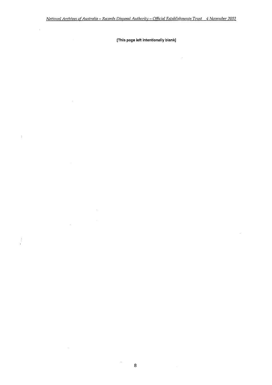$\hat{\mathcal{A}}$ 

 $\bar{1}$ 

 $\sim$ 

 $\langle \hat{u} \rangle$ 

[This page left intentionally blank]

 $\sim$   $\sim$ 

 $\hat{\boldsymbol{\beta}}$ 

 $\ddot{\phantom{a}}$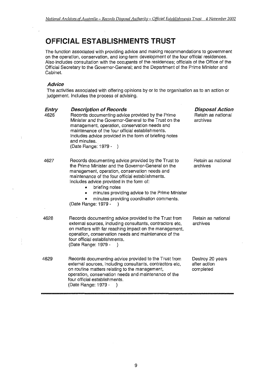The function associated with providing advice and making recommendations to government on the operation, conservation, and long-term development of the four official residences. Also includes consultation with the occupants of the residences; officials of the Office of the Official Secretary to the Governor-General; and the Department of the Prime Minister and Cabinet.

#### **Advice**

 $\hat{t}$ 

Ì

The activities associated with offering opinions by or to the organisation as to an action or judgement. Includes the process of advising.

| Entry<br>4626 | <b>Description of Records</b><br>Records documenting advice provided by the Prime<br>Minister and the Governor-General to the Trust on the<br>management, operation, conservation needs and<br>maintenance of the four official establishments.<br>Includes advice provided in the form of briefing notes<br>and minutes.<br>(Date Range: 1979 - )                                                               | Disposal Action<br>Retain as national<br>archives |
|---------------|------------------------------------------------------------------------------------------------------------------------------------------------------------------------------------------------------------------------------------------------------------------------------------------------------------------------------------------------------------------------------------------------------------------|---------------------------------------------------|
| 4627          | Records documenting advice provided by the Trust to<br>the Prime Minister and the Governor-General on the<br>management, operation, conservation needs and<br>maintenance of the four official establishments.<br>includes advice provided in the form of:<br>briefing notes<br>÷<br>minutes providing advice to the Prime Minister<br>۰<br>minutes providing coordination comments.<br>۰<br>(Date Range: 1979 - | Retain as national<br>archives                    |
| 4628          | Records documenting advice provided to the Trust from<br>external sources, including consultants, contractors etc,<br>on matters with far reaching impact on the management,<br>operation, conservation needs and maintenance of the<br>four official establishments.<br>(Date Range: 1979 -                                                                                                                     | Retain as national<br>archives                    |
| 4629          | Records documenting advice provided to the Trust from<br>external sources, including consultants, contractors etc,<br>on routine matters relating to the management,<br>operation, conservation needs and maintenance of the<br>four official establishments.<br>(Date Range: 1979 -                                                                                                                             | Destroy 20 years<br>after action<br>completed     |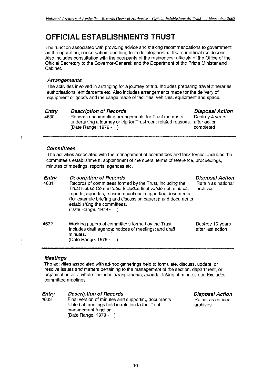The function associated with providinq advice and making recommendations to government on the operation, conservation, and long-term development of the four official residences. Also includes consuitation with the occupants of the residences; otticials of the Office of the Official Secretary to the Governor-General; and the Department of the Prime Minister and Cabinet.

#### **Arrangements**

The activities involved in arranging for a journey or trip. Includes preparing travel itineraries, authorisations, entitlements etc. Also includes arrangements made for the delivery of equipment or goods and the usage made of facilities, vehicles, equipment and space.

| Entry | <b>Description of Records</b>                                              | <b>Disposal Action</b> |
|-------|----------------------------------------------------------------------------|------------------------|
| 4630  | Records documenting arrangements for Trust members                         | Destroy 4 years        |
|       | undertaking a journey or trip for Trust work related reasons. after action |                        |
|       | (Date Range: 1979 -                                                        | completed              |

(Date Range:  $1979 - 1$ )

Destroy 4 years

### **Committees**

The activities associated with the management of committees and task forces. Includes the committee's establishment, appointment of members, terms of reference, proceedings, minutes of meetings, reports, agendas etc.

| Entry<br>4631 | <b>Description of Records</b><br>Records of committees formed by the Trust, including the<br>Trust House Committees. Includes final version of minutes;<br>reports; agendas, recommendations; supporting documents<br>(for example briefing and discussion papers); and documents<br>establishing the committees.<br>(Date Range: 1979 - ) | <b>Disposal Action</b><br>Retain as national<br>archives |
|---------------|--------------------------------------------------------------------------------------------------------------------------------------------------------------------------------------------------------------------------------------------------------------------------------------------------------------------------------------------|----------------------------------------------------------|
| 4632          | Working papers of committees formed by the Trust.<br>Includes draft agenda; notices of meetings; and draft<br>minutes.<br>(Date Range: 1979 -                                                                                                                                                                                              | Destroy 10 years<br>after last action                    |

#### **Meetings**

The activities associated with ad-hoc gatherings held to formulate, discuss, update, or resolve issues and matters pertaining to the management of the section, department, or organisation as a whole. Includes arrangements, agenda, taking of minutes etc. Excludes committee meetings.

| Entry | <b>Description of Records</b>                                                                         | Disposa               |
|-------|-------------------------------------------------------------------------------------------------------|-----------------------|
| 4633  | Final version of minutes and supporting documents<br>tabled at meetings held in relation to the Trust | Retain as<br>archives |
|       | management function.<br>(Date Range: 1979 -                                                           |                       |

**Disposal Action** ts<br>and minutes and analysis<br>and supporting and supporting the main as national as national supportional as national<br>and supporting the supportional as national as national as national supportional as national supportional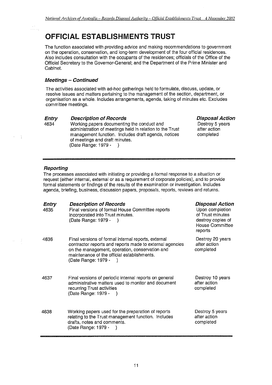The function associated with providing advice and making recommendations to government on the operation, conservation, and iong-term development of the four official residences. Also inciudes consuitation with the occupants of the residences; officials of the Office of the Official Secretary to the Governor-General; and the Department of the Prime Minister and Cabinet.

#### **Meetings - Continued**

The activities associated with ad-hoc gatherings held to formulate, discuss, update, or resolve issues and matters pertaining to the management of the section, department, or organisation as a whole. Includes arrangements, agenda, taking of minutes etc. Excludes committee meetings.

ilian<br>Kalendar

**Entry Description of Records Disposal Action**<br>4634 Working papers documenting the conduct and Destroy 5 years Working papers documenting the conduct and Destroy 5 year administration of meetings held in relation to the Trust administration of meetings held in relation to the Trust after action<br>management function. Includes draft agenda, notices completed management function. Includes draft agenda, notices of meetings and draft minutes. (Date Range: 1979 - )

#### **Reporting**

The processes associated with initiating or providing a formal response to a situation or request (either internal, external or as a requirement of corporate policies), and to provide formal statements or findings of the results of the examination or investigation. Includes agenda, briefing, business, discussion papers, proposals, reports, reviews and returns.

| Entry<br>4635 | <b>Description of Records</b><br>Final versions of formal House Committee reports<br>incorporated into Trust minutes.<br>(Date Range: 1979 -                                                                                            | <b>Disposal Action</b><br>Upon completion<br>of Trust minutes<br>destroy copies of<br>House Committee<br>reports |
|---------------|-----------------------------------------------------------------------------------------------------------------------------------------------------------------------------------------------------------------------------------------|------------------------------------------------------------------------------------------------------------------|
| 4636          | Final versions of formal internal reports, external<br>contractor reports and reports made to external agencies<br>on the management, operation, conservation and<br>maintenance of the official establishments.<br>(Date Range: 1979 - | Destroy 20 years<br>after action<br>completed                                                                    |
| 4637          | Final versions of periodic internal reports on general<br>administrative matters used to monitor and document<br>recurring Trust activities<br>(Date Range: 1979 - )                                                                    | Destroy 10 years<br>after action<br>completed                                                                    |
| 4638          | Working papers used for the preparation of reports<br>relating to the Trust management function. Includes<br>drafts, notes and comments.<br>(Date Range: 1979 -                                                                         | Destroy 5 years<br>after action<br>completed                                                                     |